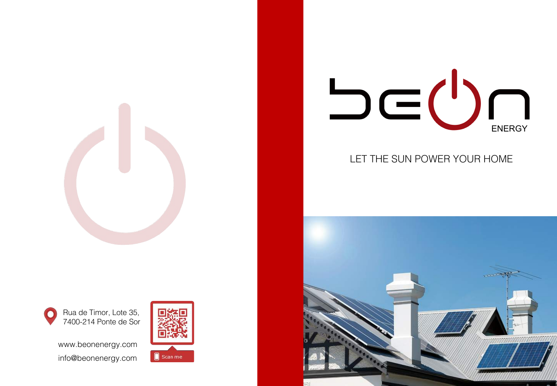



## LET THE SUN POWER YOUR HOME







www.beonenergy.com info@beonenergy.com

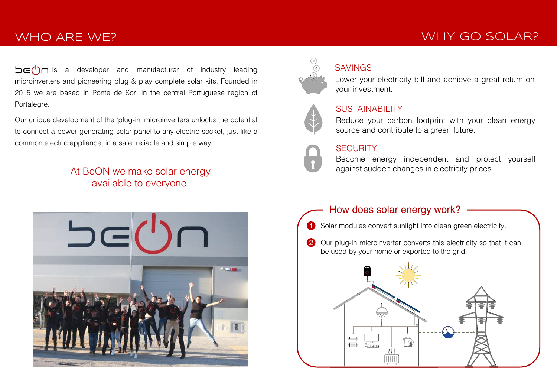# WHO ARE WE?

 $\overline{\mathsf{C}}$  is a developer and manufacturer of industry leading microinverters and pioneering plug & play complete solar kits. Founded in 2015 we are based in Ponte de Sor, in the central Portuguese region of Portalegre.

Our unique development of the 'plug-in' microinverters unlocks the potential to connect a power generating solar panel to any electric socket, just like a common electric appliance, in a safe, reliable and simple way.

## At BeON we make solar energy available to everyone.





## SAVINGS

Lower your electricity bill and achieve a great return on your investment.



### SUSTAINABILITY

Reduce your carbon footprint with your clean energy source and contribute to a green future.

### **SECURITY**

Become energy independent and protect yourself against sudden changes in electricity prices.

### How does solar energy work?

- **1** Solar modules convert sunlight into clean green electricity.
- 2 Our plug-in microinverter converts this electricity so that it can be used by your home or exported to the grid.



# WHY GO SOLAR?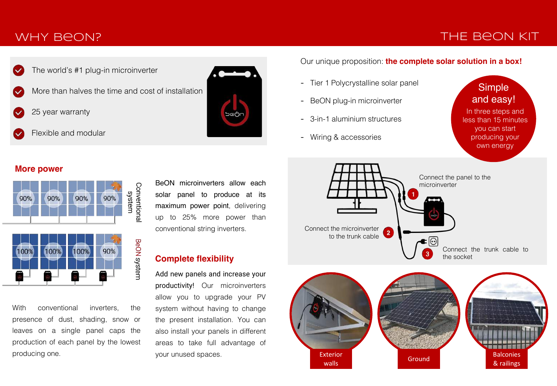## WHY BeON?

## THE BeON KIT



More than halves the time and cost of installation

25 year warranty

Flexible and modular



Our unique proposition: **the complete solar solution in a box!** 

- Tier 1 Polycrystalline solar panel
- BeON plug-in microinverter
- 3-in-1 aluminium structures
- Wiring & accessories

**Simple** and easy!

In three steps and less than 15 minutes you can start producing your own energy





#### **More power**



With conventional inverters, the presence of dust, shading, snow or leaves on a single panel caps the production of each panel by the lowest producing one.

BeON microinverters allow each solar panel to produce at its maximum power point, delivering up to 25% more power than conventional string inverters.

#### **Complete flexibility**

Add new panels and increase your productivity! Our microinverters allow you to upgrade your PV system without having to change the present installation. You can also install your panels in different areas to take full advantage of your unused spaces.